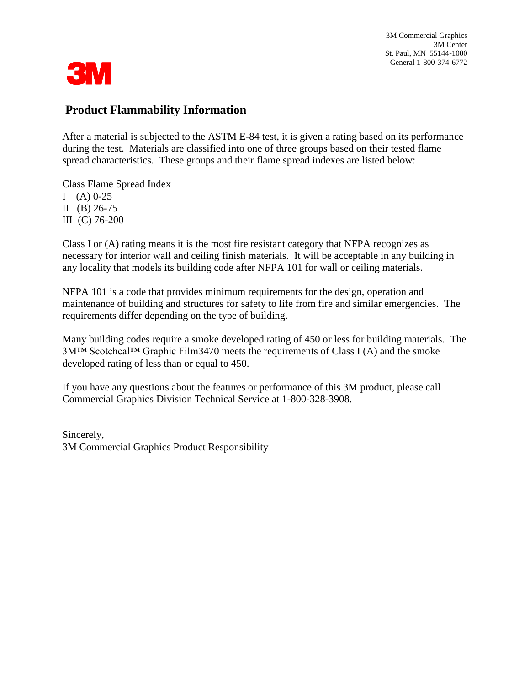3M Commercial Graphics 3M Center St. Paul, MN 55144-1000 General 1-800-374-6772



### **Product Flammability Information**

After a material is subjected to the ASTM E-84 test, it is given a rating based on its performance during the test. Materials are classified into one of three groups based on their tested flame spread characteristics. These groups and their flame spread indexes are listed below:

Class Flame Spread Index I  $(A)$  0-25 II (B)  $26-75$ III (C) 76-200

Class I or (A) rating means it is the most fire resistant category that NFPA recognizes as necessary for interior wall and ceiling finish materials. It will be acceptable in any building in any locality that models its building code after NFPA 101 for wall or ceiling materials.

NFPA 101 is a code that provides minimum requirements for the design, operation and maintenance of building and structures for safety to life from fire and similar emergencies. The requirements differ depending on the type of building.

Many building codes require a smoke developed rating of 450 or less for building materials. The 3M™ Scotchcal™ Graphic Film3470 meets the requirements of Class I (A) and the smoke developed rating of less than or equal to 450.

If you have any questions about the features or performance of this 3M product, please call Commercial Graphics Division Technical Service at 1-800-328-3908.

Sincerely, 3M Commercial Graphics Product Responsibility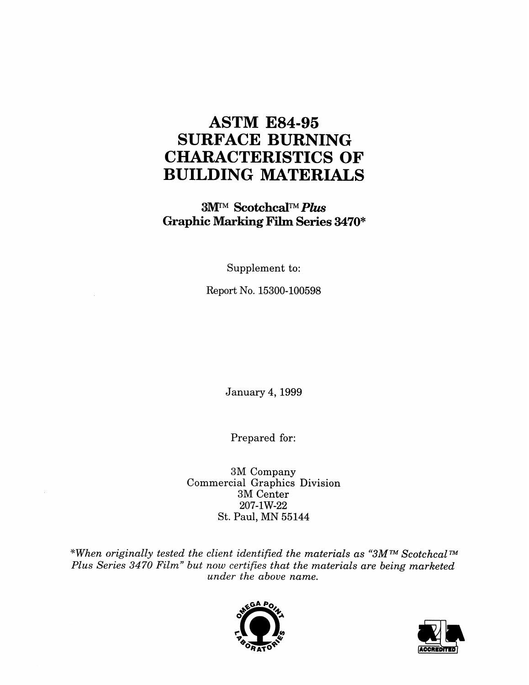## **ASTM E84-95 SURFACE BURNING CHARACTERISTICS OF BUILDING MATERIALS**

**3M™ Scotchcal™ Plus Graphic Marking Film Series 3470\*** 

Supplement to:

Report No. 15300-100598

January 4, 1999

Prepared for:

3M Company Commercial Graphics Division 3M Center 207-1W-22 St. Paul, MN 55144

\*When originally tested the client identified the materials as "3M™ Scotchcal™ Plus Series 3470 Film" but now certifies that the materials are being marketed under the above name.



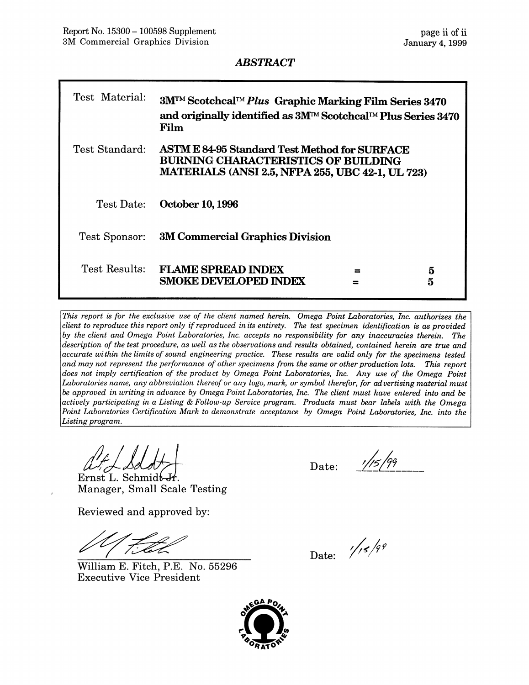#### **ABSTRACT**

| Test Material: | 3M <sup>™</sup> Scotchcal™ Plus Graphic Marking Film Series 3470<br>and originally identified as 3M™ Scotchcal™ Plus Series 3470<br>Film                      |  |  |  |
|----------------|---------------------------------------------------------------------------------------------------------------------------------------------------------------|--|--|--|
| Test Standard: | <b>ASTM E 84-95 Standard Test Method for SURFACE</b><br><b>BURNING CHARACTERISTICS OF BUILDING</b><br><b>MATERIALS (ANSI 2.5, NFPA 255, UBC 42-1, UL 723)</b> |  |  |  |
| Test Date:     | <b>October 10, 1996</b>                                                                                                                                       |  |  |  |
| Test Sponsor:  | <b>3M Commercial Graphics Division</b>                                                                                                                        |  |  |  |
| Test Results:  | <b>FLAME SPREAD INDEX</b><br>5<br>≕<br><b>SMOKE DEVELOPED INDEX</b><br>5                                                                                      |  |  |  |

This report is for the exclusive use of the client named herein. Omega Point Laboratories, Inc. authorizes the client to reproduce this report only if reproduced in its entirety. The test specimen identification is as provided by the client and Omega Point Laboratories, Inc. accepts no responsibility for any inaccuracies therein. The description of the test procedure, as well as the observations and results obtained, contained herein are true and accurate within the limits of sound engineering practice. These results are valid only for the specimens tested and may not represent the performance of other specimens from the same or other production lots. This report does not imply certification of the product by Omega Point Laboratories, Inc. Any use of the Omega Point Laboratories name, any abbreviation thereof or any logo, mark, or symbol therefor, for advertising material must be approved in writing in advance by Omega Point Laboratories, Inc. The client must have entered into and be actively participating in a Listing & Follow-up Service program. Products must bear labels with the Omega Point Laboratories Certification Mark to demonstrate acceptance by Omega Point Laboratories, Inc. into the Listing program.

at L Sdo

Ernst L. Schmidt Manager, Small Scale Testing

Reviewed and approved by:

William E. Fitch, P.E. No. 55296 **Executive Vice President** 

Date:

Date:  $\frac{1}{5}$ /99

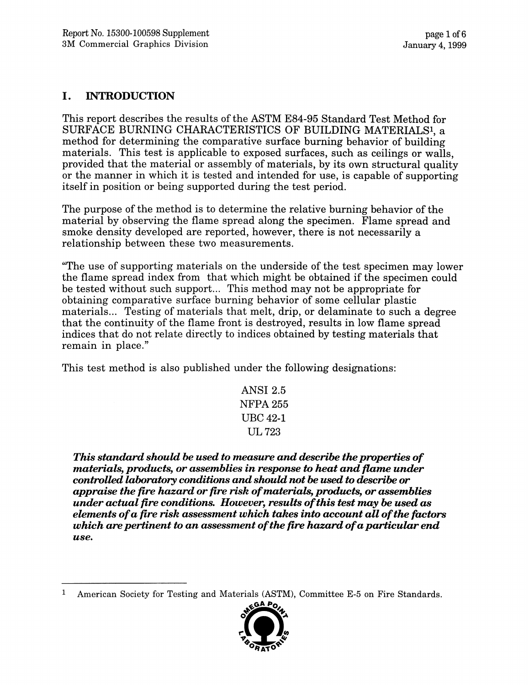#### I. **INTRODUCTION**

This report describes the results of the ASTM E84-95 Standard Test Method for SURFACE BURNING CHARACTERISTICS OF BUILDING MATERIALS<sup>1</sup>, a method for determining the comparative surface burning behavior of building materials. This test is applicable to exposed surfaces, such as ceilings or walls. provided that the material or assembly of materials, by its own structural quality or the manner in which it is tested and intended for use, is capable of supporting itself in position or being supported during the test period.

The purpose of the method is to determine the relative burning behavior of the material by observing the flame spread along the specimen. Flame spread and smoke density developed are reported, however, there is not necessarily a relationship between these two measurements.

"The use of supporting materials on the underside of the test specimen may lower the flame spread index from that which might be obtained if the specimen could be tested without such support... This method may not be appropriate for obtaining comparative surface burning behavior of some cellular plastic materials... Testing of materials that melt, drip, or delaminate to such a degree that the continuity of the flame front is destroyed, results in low flame spread indices that do not relate directly to indices obtained by testing materials that remain in place."

This test method is also published under the following designations:

This standard should be used to measure and describe the properties of materials, products, or assemblies in response to heat and flame under controlled laboratory conditions and should not be used to describe or appraise the fire hazard or fire risk of materials, products, or assemblies under actual fire conditions. However, results of this test may be used as elements of a fire risk assessment which takes into account all of the factors which are pertinent to an assessment of the fire hazard of a particular end use.

 $\mathbf{1}$ American Society for Testing and Materials (ASTM), Committee E-5 on Fire Standards.



**ANSI 2.5 NFPA 255 UBC 42-1 UL 723**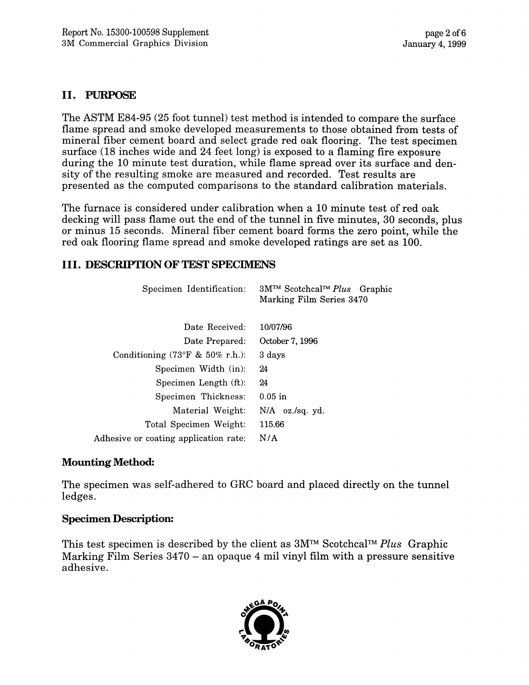#### **II. PURPOSE**

The ASTM E84-95 (25 foot tunnel) test method is intended to compare the surface flame spread and smoke developed measurements to those obtained from tests of mineral fiber cement board and select grade red oak flooring. The test specimen surface (18 inches wide and 24 feet long) is exposed to a flaming fire exposure during the 10 minute test duration, while flame spread over its surface and density of the resulting smoke are measured and recorded. Test results are presented as the computed comparisons to the standard calibration materials.

The furnace is considered under calibration when a 10 minute test of red oak decking will pass flame out the end of the tunnel in five minutes, 30 seconds, plus or minus 15 seconds. Mineral fiber cement board forms the zero point, while the red oak flooring flame spread and smoke developed ratings are set as 100.

#### **III. DESCRIPTION OF TEST SPECIMENS**

| Specimen Identification:                            | $3M^{TM}$ Scotchcal <sup>TM</sup> Plus Graphic<br>Marking Film Series 3470 |  |  |  |  |
|-----------------------------------------------------|----------------------------------------------------------------------------|--|--|--|--|
| Date Received:                                      | 10/07/96                                                                   |  |  |  |  |
| Date Prepared:                                      | October 7, 1996                                                            |  |  |  |  |
| Conditioning $(73^{\circ}F \& 50\% \text{ r.h.})$ : | 3 days                                                                     |  |  |  |  |
| Specimen Width (in):                                | 24                                                                         |  |  |  |  |
| Specimen Length (ft):                               | 24                                                                         |  |  |  |  |
| Specimen Thickness:                                 | $0.05$ in                                                                  |  |  |  |  |
| Material Weight:                                    | $N/A$ oz./sq. yd.                                                          |  |  |  |  |
| Total Specimen Weight:                              | 115.66                                                                     |  |  |  |  |
| Adhesive or coating application rate:               | N/A                                                                        |  |  |  |  |

#### **Mounting Method:**

The specimen was self-adhered to GRC board and placed directly on the tunnel ledges.

#### **Specimen Description:**

This test specimen is described by the client as  $3M^{TM}$  Scotchcal<sup>TM</sup> Plus Graphic Marking Film Series 3470 – an opaque 4 mil vinyl film with a pressure sensitive adhesive.

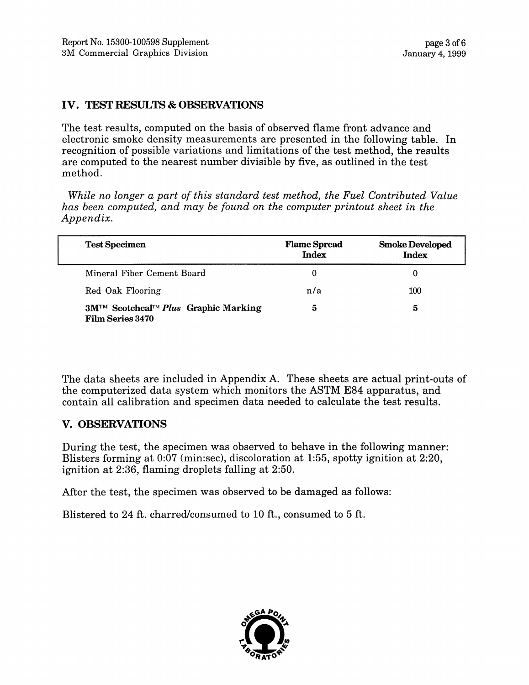#### IV. TEST RESULTS & OBSERVATIONS

The test results, computed on the basis of observed flame front advance and electronic smoke density measurements are presented in the following table. In recognition of possible variations and limitations of the test method, the results are computed to the nearest number divisible by five, as outlined in the test method.

While no longer a part of this standard test method, the Fuel Contributed Value has been computed, and may be found on the computer printout sheet in the Appendix.

| <b>Test Specimen</b>                                                              | <b>Flame Spread</b><br><b>Index</b> | <b>Smoke Developed</b><br><b>Index</b> |
|-----------------------------------------------------------------------------------|-------------------------------------|----------------------------------------|
| Mineral Fiber Cement Board                                                        |                                     |                                        |
| Red Oak Flooring                                                                  | n/a                                 | 100                                    |
| $3M^{TM}$ Scotchcal <sup>TM</sup> Plus Graphic Marking<br><b>Film Series 3470</b> | 5                                   | 5                                      |

The data sheets are included in Appendix A. These sheets are actual print-outs of the computerized data system which monitors the ASTM E84 apparatus, and contain all calibration and specimen data needed to calculate the test results.

#### V. OBSERVATIONS

During the test, the specimen was observed to behave in the following manner: Blisters forming at 0:07 (min:sec), discoloration at 1:55, spotty ignition at 2:20, ignition at 2:36, flaming droplets falling at 2:50.

After the test, the specimen was observed to be damaged as follows:

Blistered to 24 ft. charred/consumed to 10 ft., consumed to 5 ft.

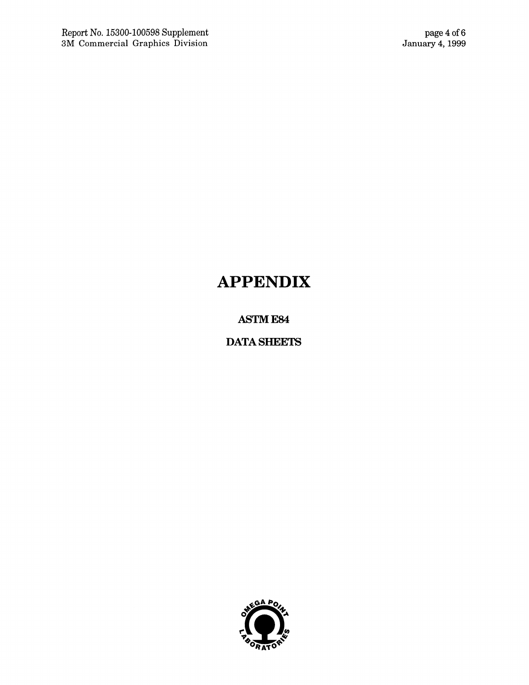# **APPENDIX**

**ASTM E84** 

**DATA SHEETS** 

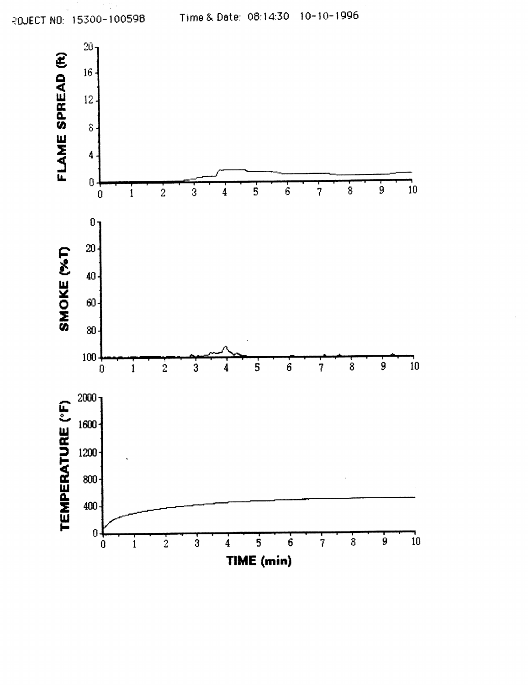